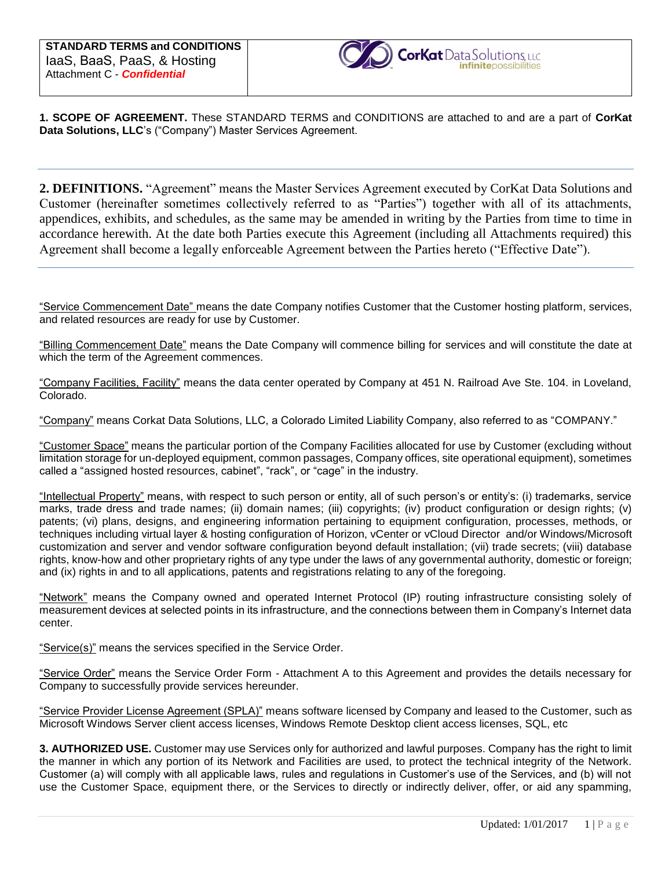

**1. SCOPE OF AGREEMENT.** These STANDARD TERMS and CONDITIONS are attached to and are a part of **CorKat Data Solutions, LLC**'s ("Company") Master Services Agreement.

**2. DEFINITIONS.** "Agreement" means the Master Services Agreement executed by CorKat Data Solutions and Customer (hereinafter sometimes collectively referred to as "Parties") together with all of its attachments, appendices, exhibits, and schedules, as the same may be amended in writing by the Parties from time to time in accordance herewith. At the date both Parties execute this Agreement (including all Attachments required) this Agreement shall become a legally enforceable Agreement between the Parties hereto ("Effective Date").

"Service Commencement Date" means the date Company notifies Customer that the Customer hosting platform, services, and related resources are ready for use by Customer.

"Billing Commencement Date" means the Date Company will commence billing for services and will constitute the date at which the term of the Agreement commences.

"Company Facilities, Facility" means the data center operated by Company at 451 N. Railroad Ave Ste. 104. in Loveland, Colorado.

"Company" means Corkat Data Solutions, LLC, a Colorado Limited Liability Company, also referred to as "COMPANY."

"Customer Space" means the particular portion of the Company Facilities allocated for use by Customer (excluding without limitation storage for un-deployed equipment, common passages, Company offices, site operational equipment), sometimes called a "assigned hosted resources, cabinet", "rack", or "cage" in the industry.

"Intellectual Property" means, with respect to such person or entity, all of such person's or entity's: (i) trademarks, service marks, trade dress and trade names; (ii) domain names; (iii) copyrights; (iv) product configuration or design rights; (v) patents; (vi) plans, designs, and engineering information pertaining to equipment configuration, processes, methods, or techniques including virtual layer & hosting configuration of Horizon, vCenter or vCloud Director and/or Windows/Microsoft customization and server and vendor software configuration beyond default installation; (vii) trade secrets; (viii) database rights, know-how and other proprietary rights of any type under the laws of any governmental authority, domestic or foreign; and (ix) rights in and to all applications, patents and registrations relating to any of the foregoing.

"Network" means the Company owned and operated Internet Protocol (IP) routing infrastructure consisting solely of measurement devices at selected points in its infrastructure, and the connections between them in Company's Internet data center.

"Service(s)" means the services specified in the Service Order.

"Service Order" means the Service Order Form - Attachment A to this Agreement and provides the details necessary for Company to successfully provide services hereunder.

"Service Provider License Agreement (SPLA)" means software licensed by Company and leased to the Customer, such as Microsoft Windows Server client access licenses, Windows Remote Desktop client access licenses, SQL, etc

**3. AUTHORIZED USE.** Customer may use Services only for authorized and lawful purposes. Company has the right to limit the manner in which any portion of its Network and Facilities are used, to protect the technical integrity of the Network. Customer (a) will comply with all applicable laws, rules and regulations in Customer's use of the Services, and (b) will not use the Customer Space, equipment there, or the Services to directly or indirectly deliver, offer, or aid any spamming,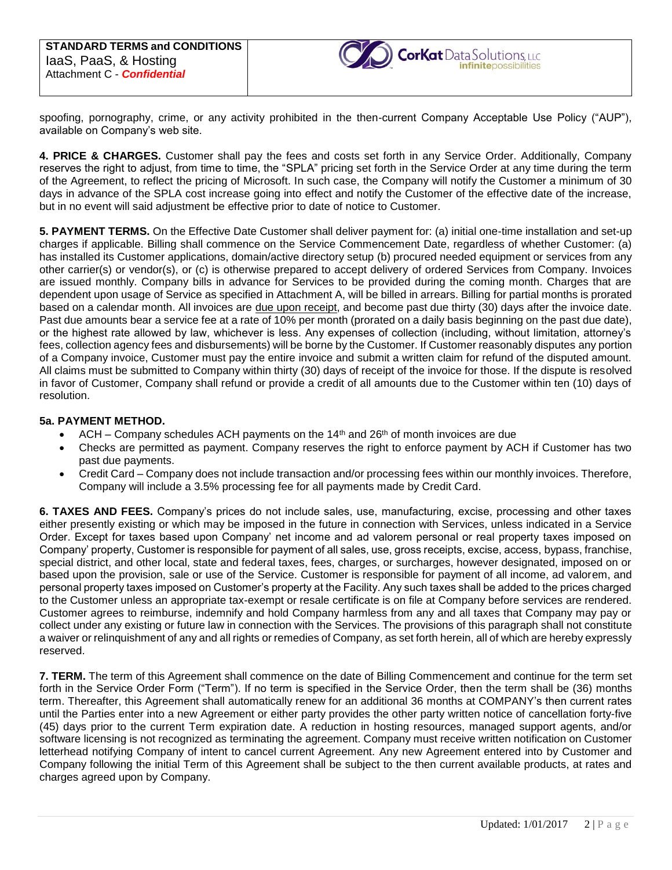

spoofing, pornography, crime, or any activity prohibited in the then-current Company Acceptable Use Policy ("AUP"), available on Company's web site.

**4. PRICE & CHARGES.** Customer shall pay the fees and costs set forth in any Service Order. Additionally, Company reserves the right to adjust, from time to time, the "SPLA" pricing set forth in the Service Order at any time during the term of the Agreement, to reflect the pricing of Microsoft. In such case, the Company will notify the Customer a minimum of 30 days in advance of the SPLA cost increase going into effect and notify the Customer of the effective date of the increase, but in no event will said adjustment be effective prior to date of notice to Customer.

**5. PAYMENT TERMS.** On the Effective Date Customer shall deliver payment for: (a) initial one-time installation and set-up charges if applicable. Billing shall commence on the Service Commencement Date, regardless of whether Customer: (a) has installed its Customer applications, domain/active directory setup (b) procured needed equipment or services from any other carrier(s) or vendor(s), or (c) is otherwise prepared to accept delivery of ordered Services from Company. Invoices are issued monthly. Company bills in advance for Services to be provided during the coming month. Charges that are dependent upon usage of Service as specified in Attachment A, will be billed in arrears. Billing for partial months is prorated based on a calendar month. All invoices are due upon receipt, and become past due thirty (30) days after the invoice date. Past due amounts bear a service fee at a rate of 10% per month (prorated on a daily basis beginning on the past due date), or the highest rate allowed by law, whichever is less. Any expenses of collection (including, without limitation, attorney's fees, collection agency fees and disbursements) will be borne by the Customer. If Customer reasonably disputes any portion of a Company invoice, Customer must pay the entire invoice and submit a written claim for refund of the disputed amount. All claims must be submitted to Company within thirty (30) days of receipt of the invoice for those. If the dispute is resolved in favor of Customer, Company shall refund or provide a credit of all amounts due to the Customer within ten (10) days of resolution.

#### **5a. PAYMENT METHOD.**

- ACH Company schedules ACH payments on the 14<sup>th</sup> and 26<sup>th</sup> of month invoices are due
- Checks are permitted as payment. Company reserves the right to enforce payment by ACH if Customer has two past due payments.
- Credit Card Company does not include transaction and/or processing fees within our monthly invoices. Therefore, Company will include a 3.5% processing fee for all payments made by Credit Card.

**6. TAXES AND FEES.** Company's prices do not include sales, use, manufacturing, excise, processing and other taxes either presently existing or which may be imposed in the future in connection with Services, unless indicated in a Service Order. Except for taxes based upon Company' net income and ad valorem personal or real property taxes imposed on Company' property, Customer is responsible for payment of all sales, use, gross receipts, excise, access, bypass, franchise, special district, and other local, state and federal taxes, fees, charges, or surcharges, however designated, imposed on or based upon the provision, sale or use of the Service. Customer is responsible for payment of all income, ad valorem, and personal property taxes imposed on Customer's property at the Facility. Any such taxes shall be added to the prices charged to the Customer unless an appropriate tax-exempt or resale certificate is on file at Company before services are rendered. Customer agrees to reimburse, indemnify and hold Company harmless from any and all taxes that Company may pay or collect under any existing or future law in connection with the Services. The provisions of this paragraph shall not constitute a waiver or relinquishment of any and all rights or remedies of Company, as set forth herein, all of which are hereby expressly reserved.

**7. TERM.** The term of this Agreement shall commence on the date of Billing Commencement and continue for the term set forth in the Service Order Form ("Term"). If no term is specified in the Service Order, then the term shall be (36) months term. Thereafter, this Agreement shall automatically renew for an additional 36 months at COMPANY's then current rates until the Parties enter into a new Agreement or either party provides the other party written notice of cancellation forty-five (45) days prior to the current Term expiration date. A reduction in hosting resources, managed support agents, and/or software licensing is not recognized as terminating the agreement. Company must receive written notification on Customer letterhead notifying Company of intent to cancel current Agreement. Any new Agreement entered into by Customer and Company following the initial Term of this Agreement shall be subject to the then current available products, at rates and charges agreed upon by Company.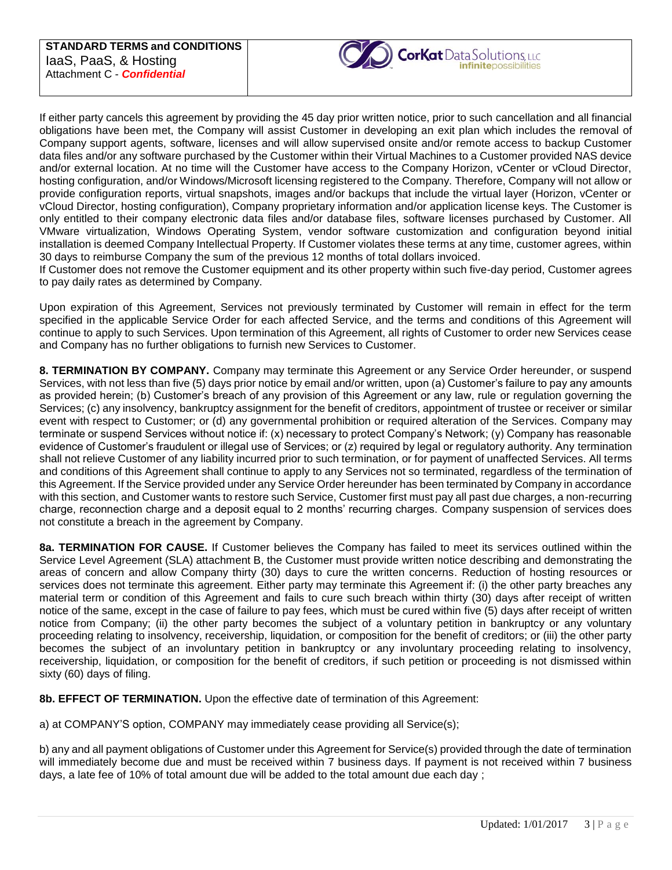

If either party cancels this agreement by providing the 45 day prior written notice, prior to such cancellation and all financial obligations have been met, the Company will assist Customer in developing an exit plan which includes the removal of Company support agents, software, licenses and will allow supervised onsite and/or remote access to backup Customer data files and/or any software purchased by the Customer within their Virtual Machines to a Customer provided NAS device and/or external location. At no time will the Customer have access to the Company Horizon, vCenter or vCloud Director, hosting configuration, and/or Windows/Microsoft licensing registered to the Company. Therefore, Company will not allow or provide configuration reports, virtual snapshots, images and/or backups that include the virtual layer (Horizon, vCenter or vCloud Director, hosting configuration), Company proprietary information and/or application license keys. The Customer is only entitled to their company electronic data files and/or database files, software licenses purchased by Customer. All VMware virtualization, Windows Operating System, vendor software customization and configuration beyond initial installation is deemed Company Intellectual Property. If Customer violates these terms at any time, customer agrees, within 30 days to reimburse Company the sum of the previous 12 months of total dollars invoiced.

If Customer does not remove the Customer equipment and its other property within such five-day period, Customer agrees to pay daily rates as determined by Company.

Upon expiration of this Agreement, Services not previously terminated by Customer will remain in effect for the term specified in the applicable Service Order for each affected Service, and the terms and conditions of this Agreement will continue to apply to such Services. Upon termination of this Agreement, all rights of Customer to order new Services cease and Company has no further obligations to furnish new Services to Customer.

**8. TERMINATION BY COMPANY.** Company may terminate this Agreement or any Service Order hereunder, or suspend Services, with not less than five (5) days prior notice by email and/or written, upon (a) Customer's failure to pay any amounts as provided herein; (b) Customer's breach of any provision of this Agreement or any law, rule or regulation governing the Services; (c) any insolvency, bankruptcy assignment for the benefit of creditors, appointment of trustee or receiver or similar event with respect to Customer; or (d) any governmental prohibition or required alteration of the Services. Company may terminate or suspend Services without notice if: (x) necessary to protect Company's Network; (y) Company has reasonable evidence of Customer's fraudulent or illegal use of Services; or (z) required by legal or regulatory authority. Any termination shall not relieve Customer of any liability incurred prior to such termination, or for payment of unaffected Services. All terms and conditions of this Agreement shall continue to apply to any Services not so terminated, regardless of the termination of this Agreement. If the Service provided under any Service Order hereunder has been terminated by Company in accordance with this section, and Customer wants to restore such Service, Customer first must pay all past due charges, a non-recurring charge, reconnection charge and a deposit equal to 2 months' recurring charges. Company suspension of services does not constitute a breach in the agreement by Company.

**8a. TERMINATION FOR CAUSE.** If Customer believes the Company has failed to meet its services outlined within the Service Level Agreement (SLA) attachment B, the Customer must provide written notice describing and demonstrating the areas of concern and allow Company thirty (30) days to cure the written concerns. Reduction of hosting resources or services does not terminate this agreement. Either party may terminate this Agreement if: (i) the other party breaches any material term or condition of this Agreement and fails to cure such breach within thirty (30) days after receipt of written notice of the same, except in the case of failure to pay fees, which must be cured within five (5) days after receipt of written notice from Company; (ii) the other party becomes the subject of a voluntary petition in bankruptcy or any voluntary proceeding relating to insolvency, receivership, liquidation, or composition for the benefit of creditors; or (iii) the other party becomes the subject of an involuntary petition in bankruptcy or any involuntary proceeding relating to insolvency, receivership, liquidation, or composition for the benefit of creditors, if such petition or proceeding is not dismissed within sixty (60) days of filing.

**8b. EFFECT OF TERMINATION.** Upon the effective date of termination of this Agreement:

a) at COMPANY'S option, COMPANY may immediately cease providing all Service(s);

b) any and all payment obligations of Customer under this Agreement for Service(s) provided through the date of termination will immediately become due and must be received within 7 business days. If payment is not received within 7 business days, a late fee of 10% of total amount due will be added to the total amount due each day ;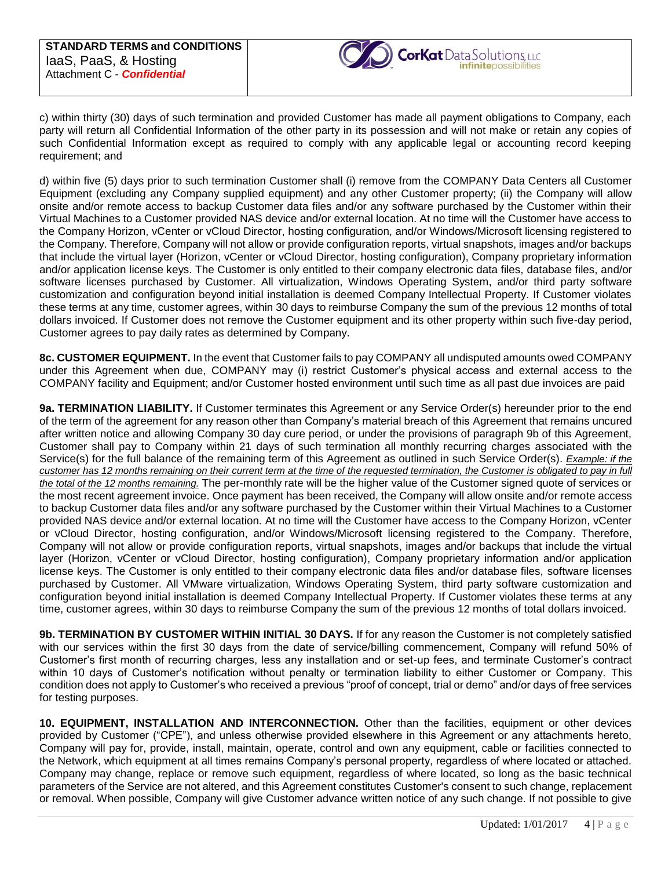

c) within thirty (30) days of such termination and provided Customer has made all payment obligations to Company, each party will return all Confidential Information of the other party in its possession and will not make or retain any copies of such Confidential Information except as required to comply with any applicable legal or accounting record keeping requirement; and

d) within five (5) days prior to such termination Customer shall (i) remove from the COMPANY Data Centers all Customer Equipment (excluding any Company supplied equipment) and any other Customer property; (ii) the Company will allow onsite and/or remote access to backup Customer data files and/or any software purchased by the Customer within their Virtual Machines to a Customer provided NAS device and/or external location. At no time will the Customer have access to the Company Horizon, vCenter or vCloud Director, hosting configuration, and/or Windows/Microsoft licensing registered to the Company. Therefore, Company will not allow or provide configuration reports, virtual snapshots, images and/or backups that include the virtual layer (Horizon, vCenter or vCloud Director, hosting configuration), Company proprietary information and/or application license keys. The Customer is only entitled to their company electronic data files, database files, and/or software licenses purchased by Customer. All virtualization, Windows Operating System, and/or third party software customization and configuration beyond initial installation is deemed Company Intellectual Property. If Customer violates these terms at any time, customer agrees, within 30 days to reimburse Company the sum of the previous 12 months of total dollars invoiced. If Customer does not remove the Customer equipment and its other property within such five-day period, Customer agrees to pay daily rates as determined by Company.

**8c. CUSTOMER EQUIPMENT.** In the event that Customer fails to pay COMPANY all undisputed amounts owed COMPANY under this Agreement when due, COMPANY may (i) restrict Customer's physical access and external access to the COMPANY facility and Equipment; and/or Customer hosted environment until such time as all past due invoices are paid

**9a. TERMINATION LIABILITY.** If Customer terminates this Agreement or any Service Order(s) hereunder prior to the end of the term of the agreement for any reason other than Company's material breach of this Agreement that remains uncured after written notice and allowing Company 30 day cure period, or under the provisions of paragraph 9b of this Agreement, Customer shall pay to Company within 21 days of such termination all monthly recurring charges associated with the Service(s) for the full balance of the remaining term of this Agreement as outlined in such Service Order(s). *Example: if the customer has 12 months remaining on their current term at the time of the requested termination, the Customer is obligated to pay in full the total of the 12 months remaining.* The per-monthly rate will be the higher value of the Customer signed quote of services or the most recent agreement invoice. Once payment has been received, the Company will allow onsite and/or remote access to backup Customer data files and/or any software purchased by the Customer within their Virtual Machines to a Customer provided NAS device and/or external location. At no time will the Customer have access to the Company Horizon, vCenter or vCloud Director, hosting configuration, and/or Windows/Microsoft licensing registered to the Company. Therefore, Company will not allow or provide configuration reports, virtual snapshots, images and/or backups that include the virtual layer (Horizon, vCenter or vCloud Director, hosting configuration), Company proprietary information and/or application license keys. The Customer is only entitled to their company electronic data files and/or database files, software licenses purchased by Customer. All VMware virtualization, Windows Operating System, third party software customization and configuration beyond initial installation is deemed Company Intellectual Property. If Customer violates these terms at any time, customer agrees, within 30 days to reimburse Company the sum of the previous 12 months of total dollars invoiced.

**9b. TERMINATION BY CUSTOMER WITHIN INITIAL 30 DAYS.** If for any reason the Customer is not completely satisfied with our services within the first 30 days from the date of service/billing commencement, Company will refund 50% of Customer's first month of recurring charges, less any installation and or set-up fees, and terminate Customer's contract within 10 days of Customer's notification without penalty or termination liability to either Customer or Company. This condition does not apply to Customer's who received a previous "proof of concept, trial or demo" and/or days of free services for testing purposes.

**10. EQUIPMENT, INSTALLATION AND INTERCONNECTION.** Other than the facilities, equipment or other devices provided by Customer ("CPE"), and unless otherwise provided elsewhere in this Agreement or any attachments hereto, Company will pay for, provide, install, maintain, operate, control and own any equipment, cable or facilities connected to the Network, which equipment at all times remains Company's personal property, regardless of where located or attached. Company may change, replace or remove such equipment, regardless of where located, so long as the basic technical parameters of the Service are not altered, and this Agreement constitutes Customer's consent to such change, replacement or removal. When possible, Company will give Customer advance written notice of any such change. If not possible to give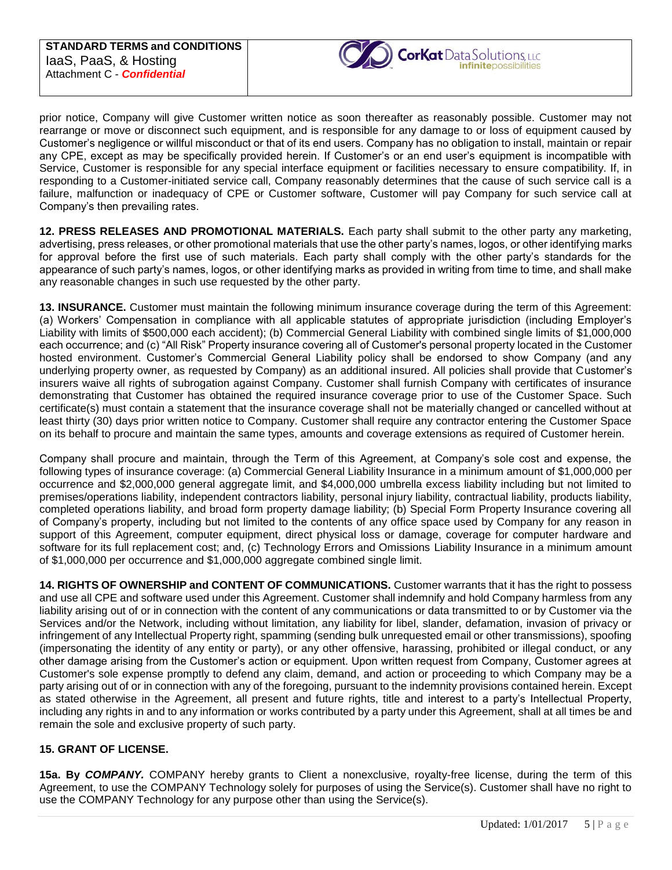

prior notice, Company will give Customer written notice as soon thereafter as reasonably possible. Customer may not rearrange or move or disconnect such equipment, and is responsible for any damage to or loss of equipment caused by Customer's negligence or willful misconduct or that of its end users. Company has no obligation to install, maintain or repair any CPE, except as may be specifically provided herein. If Customer's or an end user's equipment is incompatible with Service, Customer is responsible for any special interface equipment or facilities necessary to ensure compatibility. If, in responding to a Customer-initiated service call, Company reasonably determines that the cause of such service call is a failure, malfunction or inadequacy of CPE or Customer software, Customer will pay Company for such service call at Company's then prevailing rates.

**12. PRESS RELEASES AND PROMOTIONAL MATERIALS.** Each party shall submit to the other party any marketing, advertising, press releases, or other promotional materials that use the other party's names, logos, or other identifying marks for approval before the first use of such materials. Each party shall comply with the other party's standards for the appearance of such party's names, logos, or other identifying marks as provided in writing from time to time, and shall make any reasonable changes in such use requested by the other party.

**13. INSURANCE.** Customer must maintain the following minimum insurance coverage during the term of this Agreement: (a) Workers' Compensation in compliance with all applicable statutes of appropriate jurisdiction (including Employer's Liability with limits of \$500,000 each accident); (b) Commercial General Liability with combined single limits of \$1,000,000 each occurrence; and (c) "All Risk" Property insurance covering all of Customer's personal property located in the Customer hosted environment. Customer's Commercial General Liability policy shall be endorsed to show Company (and any underlying property owner, as requested by Company) as an additional insured. All policies shall provide that Customer's insurers waive all rights of subrogation against Company. Customer shall furnish Company with certificates of insurance demonstrating that Customer has obtained the required insurance coverage prior to use of the Customer Space. Such certificate(s) must contain a statement that the insurance coverage shall not be materially changed or cancelled without at least thirty (30) days prior written notice to Company. Customer shall require any contractor entering the Customer Space on its behalf to procure and maintain the same types, amounts and coverage extensions as required of Customer herein.

Company shall procure and maintain, through the Term of this Agreement, at Company's sole cost and expense, the following types of insurance coverage: (a) Commercial General Liability Insurance in a minimum amount of \$1,000,000 per occurrence and \$2,000,000 general aggregate limit, and \$4,000,000 umbrella excess liability including but not limited to premises/operations liability, independent contractors liability, personal injury liability, contractual liability, products liability, completed operations liability, and broad form property damage liability; (b) Special Form Property Insurance covering all of Company's property, including but not limited to the contents of any office space used by Company for any reason in support of this Agreement, computer equipment, direct physical loss or damage, coverage for computer hardware and software for its full replacement cost; and, (c) Technology Errors and Omissions Liability Insurance in a minimum amount of \$1,000,000 per occurrence and \$1,000,000 aggregate combined single limit.

**14. RIGHTS OF OWNERSHIP and CONTENT OF COMMUNICATIONS.** Customer warrants that it has the right to possess and use all CPE and software used under this Agreement. Customer shall indemnify and hold Company harmless from any liability arising out of or in connection with the content of any communications or data transmitted to or by Customer via the Services and/or the Network, including without limitation, any liability for libel, slander, defamation, invasion of privacy or infringement of any Intellectual Property right, spamming (sending bulk unrequested email or other transmissions), spoofing (impersonating the identity of any entity or party), or any other offensive, harassing, prohibited or illegal conduct, or any other damage arising from the Customer's action or equipment. Upon written request from Company, Customer agrees at Customer's sole expense promptly to defend any claim, demand, and action or proceeding to which Company may be a party arising out of or in connection with any of the foregoing, pursuant to the indemnity provisions contained herein. Except as stated otherwise in the Agreement, all present and future rights, title and interest to a party's Intellectual Property, including any rights in and to any information or works contributed by a party under this Agreement, shall at all times be and remain the sole and exclusive property of such party.

## **15. GRANT OF LICENSE.**

**15a. By** *COMPANY.* COMPANY hereby grants to Client a nonexclusive, royalty-free license, during the term of this Agreement, to use the COMPANY Technology solely for purposes of using the Service(s). Customer shall have no right to use the COMPANY Technology for any purpose other than using the Service(s).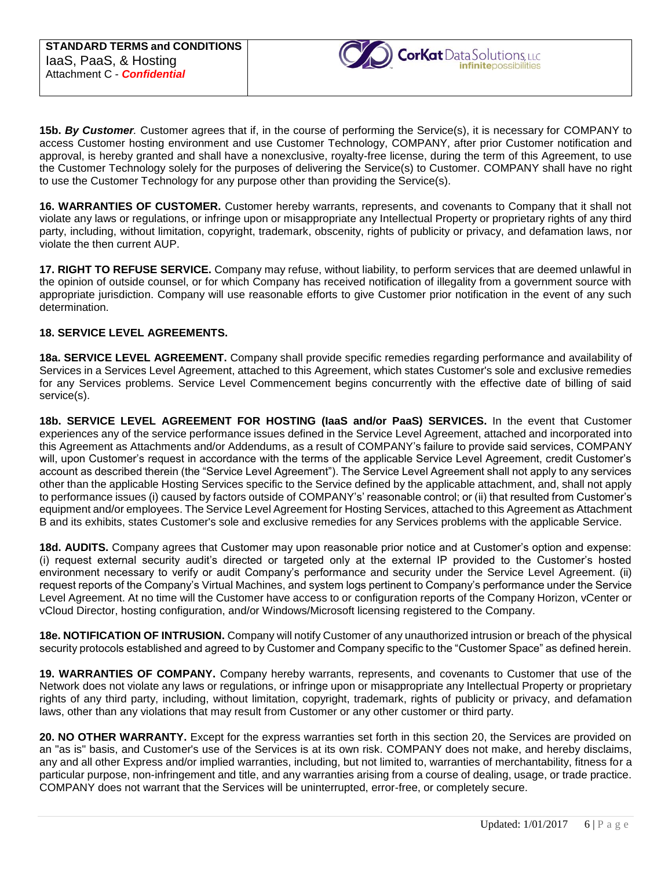

**15b.** *By Customer.* Customer agrees that if, in the course of performing the Service(s), it is necessary for COMPANY to access Customer hosting environment and use Customer Technology, COMPANY, after prior Customer notification and approval, is hereby granted and shall have a nonexclusive, royalty-free license, during the term of this Agreement, to use the Customer Technology solely for the purposes of delivering the Service(s) to Customer. COMPANY shall have no right to use the Customer Technology for any purpose other than providing the Service(s).

**16. WARRANTIES OF CUSTOMER.** Customer hereby warrants, represents, and covenants to Company that it shall not violate any laws or regulations, or infringe upon or misappropriate any Intellectual Property or proprietary rights of any third party, including, without limitation, copyright, trademark, obscenity, rights of publicity or privacy, and defamation laws, nor violate the then current AUP.

**17. RIGHT TO REFUSE SERVICE.** Company may refuse, without liability, to perform services that are deemed unlawful in the opinion of outside counsel, or for which Company has received notification of illegality from a government source with appropriate jurisdiction. Company will use reasonable efforts to give Customer prior notification in the event of any such determination.

# **18. SERVICE LEVEL AGREEMENTS.**

**18a. SERVICE LEVEL AGREEMENT.** Company shall provide specific remedies regarding performance and availability of Services in a Services Level Agreement, attached to this Agreement, which states Customer's sole and exclusive remedies for any Services problems. Service Level Commencement begins concurrently with the effective date of billing of said service(s).

**18b. SERVICE LEVEL AGREEMENT FOR HOSTING (IaaS and/or PaaS) SERVICES.** In the event that Customer experiences any of the service performance issues defined in the Service Level Agreement, attached and incorporated into this Agreement as Attachments and/or Addendums, as a result of COMPANY's failure to provide said services, COMPANY will, upon Customer's request in accordance with the terms of the applicable Service Level Agreement, credit Customer's account as described therein (the "Service Level Agreement"). The Service Level Agreement shall not apply to any services other than the applicable Hosting Services specific to the Service defined by the applicable attachment, and, shall not apply to performance issues (i) caused by factors outside of COMPANY's' reasonable control; or (ii) that resulted from Customer's equipment and/or employees. The Service Level Agreement for Hosting Services, attached to this Agreement as Attachment B and its exhibits, states Customer's sole and exclusive remedies for any Services problems with the applicable Service.

**18d. AUDITS.** Company agrees that Customer may upon reasonable prior notice and at Customer's option and expense: (i) request external security audit's directed or targeted only at the external IP provided to the Customer's hosted environment necessary to verify or audit Company's performance and security under the Service Level Agreement. (ii) request reports of the Company's Virtual Machines, and system logs pertinent to Company's performance under the Service Level Agreement. At no time will the Customer have access to or configuration reports of the Company Horizon, vCenter or vCloud Director, hosting configuration, and/or Windows/Microsoft licensing registered to the Company.

**18e. NOTIFICATION OF INTRUSION.** Company will notify Customer of any unauthorized intrusion or breach of the physical security protocols established and agreed to by Customer and Company specific to the "Customer Space" as defined herein.

**19. WARRANTIES OF COMPANY.** Company hereby warrants, represents, and covenants to Customer that use of the Network does not violate any laws or regulations, or infringe upon or misappropriate any Intellectual Property or proprietary rights of any third party, including, without limitation, copyright, trademark, rights of publicity or privacy, and defamation laws, other than any violations that may result from Customer or any other customer or third party.

**20. NO OTHER WARRANTY.** Except for the express warranties set forth in this section 20, the Services are provided on an "as is" basis, and Customer's use of the Services is at its own risk. COMPANY does not make, and hereby disclaims, any and all other Express and/or implied warranties, including, but not limited to, warranties of merchantability, fitness for a particular purpose, non-infringement and title, and any warranties arising from a course of dealing, usage, or trade practice. COMPANY does not warrant that the Services will be uninterrupted, error-free, or completely secure.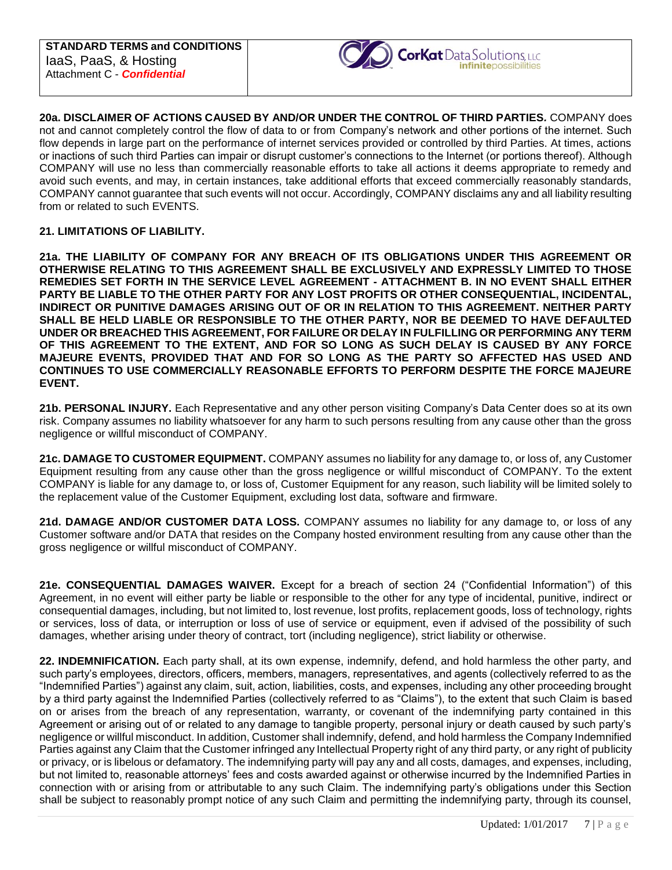

**20a. DISCLAIMER OF ACTIONS CAUSED BY AND/OR UNDER THE CONTROL OF THIRD PARTIES***.* COMPANY does not and cannot completely control the flow of data to or from Company's network and other portions of the internet. Such flow depends in large part on the performance of internet services provided or controlled by third Parties. At times, actions or inactions of such third Parties can impair or disrupt customer's connections to the Internet (or portions thereof). Although COMPANY will use no less than commercially reasonable efforts to take all actions it deems appropriate to remedy and avoid such events, and may, in certain instances, take additional efforts that exceed commercially reasonably standards, COMPANY cannot guarantee that such events will not occur. Accordingly, COMPANY disclaims any and all liability resulting from or related to such EVENTS.

### **21. LIMITATIONS OF LIABILITY.**

**21a. THE LIABILITY OF COMPANY FOR ANY BREACH OF ITS OBLIGATIONS UNDER THIS AGREEMENT OR OTHERWISE RELATING TO THIS AGREEMENT SHALL BE EXCLUSIVELY AND EXPRESSLY LIMITED TO THOSE REMEDIES SET FORTH IN THE SERVICE LEVEL AGREEMENT - ATTACHMENT B. IN NO EVENT SHALL EITHER PARTY BE LIABLE TO THE OTHER PARTY FOR ANY LOST PROFITS OR OTHER CONSEQUENTIAL, INCIDENTAL, INDIRECT OR PUNITIVE DAMAGES ARISING OUT OF OR IN RELATION TO THIS AGREEMENT. NEITHER PARTY SHALL BE HELD LIABLE OR RESPONSIBLE TO THE OTHER PARTY, NOR BE DEEMED TO HAVE DEFAULTED UNDER OR BREACHED THIS AGREEMENT, FOR FAILURE OR DELAY IN FULFILLING OR PERFORMING ANY TERM OF THIS AGREEMENT TO THE EXTENT, AND FOR SO LONG AS SUCH DELAY IS CAUSED BY ANY FORCE MAJEURE EVENTS, PROVIDED THAT AND FOR SO LONG AS THE PARTY SO AFFECTED HAS USED AND CONTINUES TO USE COMMERCIALLY REASONABLE EFFORTS TO PERFORM DESPITE THE FORCE MAJEURE EVENT.** 

**21b. PERSONAL INJURY.** Each Representative and any other person visiting Company's Data Center does so at its own risk. Company assumes no liability whatsoever for any harm to such persons resulting from any cause other than the gross negligence or willful misconduct of COMPANY.

**21c. DAMAGE TO CUSTOMER EQUIPMENT.** COMPANY assumes no liability for any damage to, or loss of, any Customer Equipment resulting from any cause other than the gross negligence or willful misconduct of COMPANY. To the extent COMPANY is liable for any damage to, or loss of, Customer Equipment for any reason, such liability will be limited solely to the replacement value of the Customer Equipment, excluding lost data, software and firmware.

**21d. DAMAGE AND/OR CUSTOMER DATA LOSS.** COMPANY assumes no liability for any damage to, or loss of any Customer software and/or DATA that resides on the Company hosted environment resulting from any cause other than the gross negligence or willful misconduct of COMPANY.

**21e. CONSEQUENTIAL DAMAGES WAIVER.** Except for a breach of section 24 ("Confidential Information") of this Agreement, in no event will either party be liable or responsible to the other for any type of incidental, punitive, indirect or consequential damages, including, but not limited to, lost revenue, lost profits, replacement goods, loss of technology, rights or services, loss of data, or interruption or loss of use of service or equipment, even if advised of the possibility of such damages, whether arising under theory of contract, tort (including negligence), strict liability or otherwise.

**22. INDEMNIFICATION.** Each party shall, at its own expense, indemnify, defend, and hold harmless the other party, and such party's employees, directors, officers, members, managers, representatives, and agents (collectively referred to as the "Indemnified Parties") against any claim, suit, action, liabilities, costs, and expenses, including any other proceeding brought by a third party against the Indemnified Parties (collectively referred to as "Claims"), to the extent that such Claim is based on or arises from the breach of any representation, warranty, or covenant of the indemnifying party contained in this Agreement or arising out of or related to any damage to tangible property, personal injury or death caused by such party's negligence or willful misconduct. In addition, Customer shall indemnify, defend, and hold harmless the Company Indemnified Parties against any Claim that the Customer infringed any Intellectual Property right of any third party, or any right of publicity or privacy, or is libelous or defamatory. The indemnifying party will pay any and all costs, damages, and expenses, including, but not limited to, reasonable attorneys' fees and costs awarded against or otherwise incurred by the Indemnified Parties in connection with or arising from or attributable to any such Claim. The indemnifying party's obligations under this Section shall be subject to reasonably prompt notice of any such Claim and permitting the indemnifying party, through its counsel,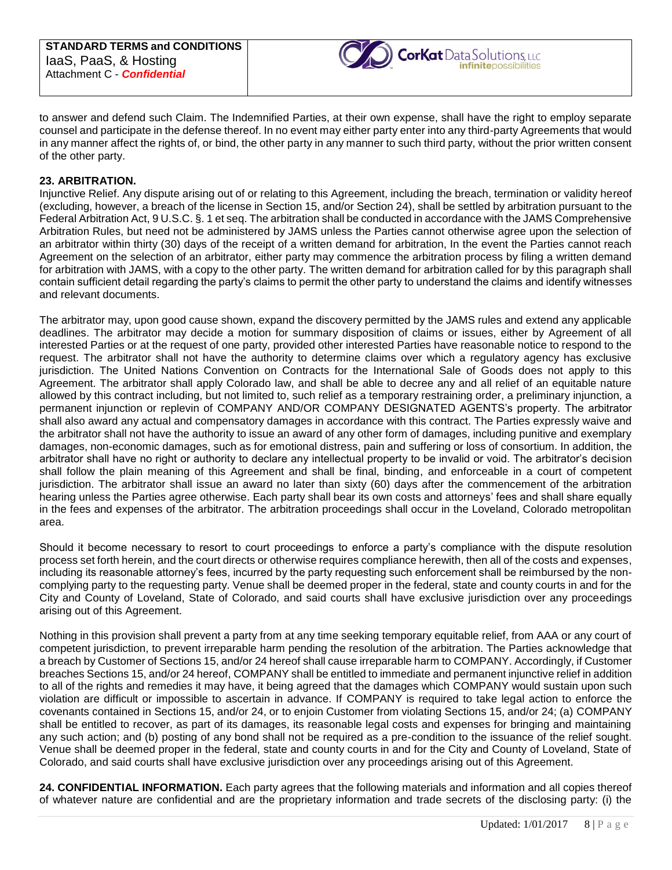

to answer and defend such Claim. The Indemnified Parties, at their own expense, shall have the right to employ separate counsel and participate in the defense thereof. In no event may either party enter into any third-party Agreements that would in any manner affect the rights of, or bind, the other party in any manner to such third party, without the prior written consent of the other party.

#### **23. ARBITRATION.**

Injunctive Relief. Any dispute arising out of or relating to this Agreement, including the breach, termination or validity hereof (excluding, however, a breach of the license in Section 15, and/or Section 24), shall be settled by arbitration pursuant to the Federal Arbitration Act, 9 U.S.C. §. 1 et seq. The arbitration shall be conducted in accordance with the JAMS Comprehensive Arbitration Rules, but need not be administered by JAMS unless the Parties cannot otherwise agree upon the selection of an arbitrator within thirty (30) days of the receipt of a written demand for arbitration, In the event the Parties cannot reach Agreement on the selection of an arbitrator, either party may commence the arbitration process by filing a written demand for arbitration with JAMS, with a copy to the other party. The written demand for arbitration called for by this paragraph shall contain sufficient detail regarding the party's claims to permit the other party to understand the claims and identify witnesses and relevant documents.

The arbitrator may, upon good cause shown, expand the discovery permitted by the JAMS rules and extend any applicable deadlines. The arbitrator may decide a motion for summary disposition of claims or issues, either by Agreement of all interested Parties or at the request of one party, provided other interested Parties have reasonable notice to respond to the request. The arbitrator shall not have the authority to determine claims over which a regulatory agency has exclusive jurisdiction. The United Nations Convention on Contracts for the International Sale of Goods does not apply to this Agreement. The arbitrator shall apply Colorado law, and shall be able to decree any and all relief of an equitable nature allowed by this contract including, but not limited to, such relief as a temporary restraining order, a preliminary injunction, a permanent injunction or replevin of COMPANY AND/OR COMPANY DESIGNATED AGENTS's property. The arbitrator shall also award any actual and compensatory damages in accordance with this contract. The Parties expressly waive and the arbitrator shall not have the authority to issue an award of any other form of damages, including punitive and exemplary damages, non-economic damages, such as for emotional distress, pain and suffering or loss of consortium. In addition, the arbitrator shall have no right or authority to declare any intellectual property to be invalid or void. The arbitrator's decision shall follow the plain meaning of this Agreement and shall be final, binding, and enforceable in a court of competent jurisdiction. The arbitrator shall issue an award no later than sixty (60) days after the commencement of the arbitration hearing unless the Parties agree otherwise. Each party shall bear its own costs and attorneys' fees and shall share equally in the fees and expenses of the arbitrator. The arbitration proceedings shall occur in the Loveland, Colorado metropolitan area.

Should it become necessary to resort to court proceedings to enforce a party's compliance with the dispute resolution process set forth herein, and the court directs or otherwise requires compliance herewith, then all of the costs and expenses, including its reasonable attorney's fees, incurred by the party requesting such enforcement shall be reimbursed by the noncomplying party to the requesting party. Venue shall be deemed proper in the federal, state and county courts in and for the City and County of Loveland, State of Colorado, and said courts shall have exclusive jurisdiction over any proceedings arising out of this Agreement.

Nothing in this provision shall prevent a party from at any time seeking temporary equitable relief, from AAA or any court of competent jurisdiction, to prevent irreparable harm pending the resolution of the arbitration. The Parties acknowledge that a breach by Customer of Sections 15, and/or 24 hereof shall cause irreparable harm to COMPANY. Accordingly, if Customer breaches Sections 15, and/or 24 hereof, COMPANY shall be entitled to immediate and permanent injunctive relief in addition to all of the rights and remedies it may have, it being agreed that the damages which COMPANY would sustain upon such violation are difficult or impossible to ascertain in advance. If COMPANY is required to take legal action to enforce the covenants contained in Sections 15, and/or 24, or to enjoin Customer from violating Sections 15, and/or 24; (a) COMPANY shall be entitled to recover, as part of its damages, its reasonable legal costs and expenses for bringing and maintaining any such action; and (b) posting of any bond shall not be required as a pre-condition to the issuance of the relief sought. Venue shall be deemed proper in the federal, state and county courts in and for the City and County of Loveland, State of Colorado, and said courts shall have exclusive jurisdiction over any proceedings arising out of this Agreement.

**24. CONFIDENTIAL INFORMATION.** Each party agrees that the following materials and information and all copies thereof of whatever nature are confidential and are the proprietary information and trade secrets of the disclosing party: (i) the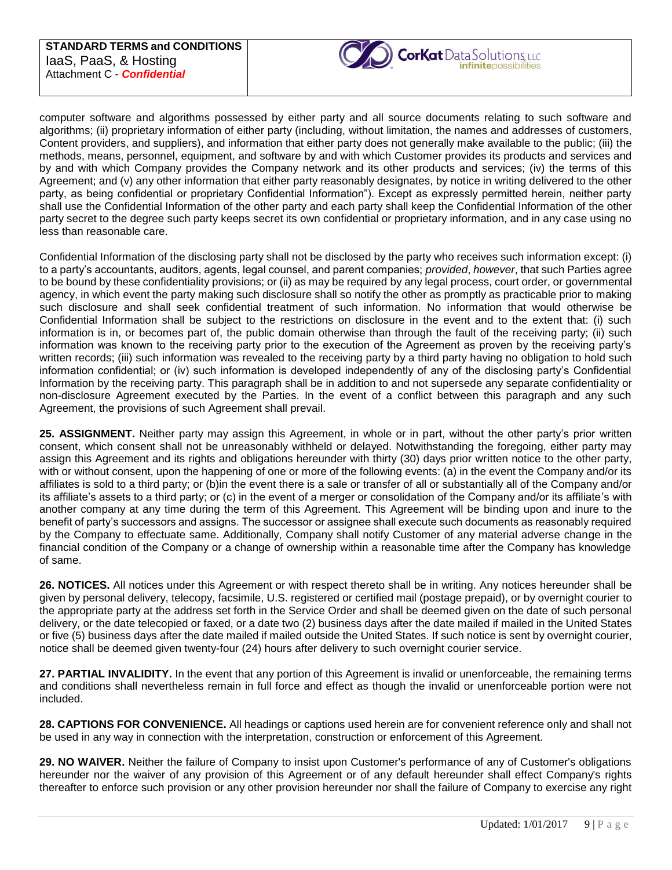

computer software and algorithms possessed by either party and all source documents relating to such software and algorithms; (ii) proprietary information of either party (including, without limitation, the names and addresses of customers, Content providers, and suppliers), and information that either party does not generally make available to the public; (iii) the methods, means, personnel, equipment, and software by and with which Customer provides its products and services and by and with which Company provides the Company network and its other products and services; (iv) the terms of this Agreement; and (v) any other information that either party reasonably designates, by notice in writing delivered to the other party, as being confidential or proprietary Confidential Information"). Except as expressly permitted herein, neither party shall use the Confidential Information of the other party and each party shall keep the Confidential Information of the other party secret to the degree such party keeps secret its own confidential or proprietary information, and in any case using no less than reasonable care.

Confidential Information of the disclosing party shall not be disclosed by the party who receives such information except: (i) to a party's accountants, auditors, agents, legal counsel, and parent companies; *provided*, *however*, that such Parties agree to be bound by these confidentiality provisions; or (ii) as may be required by any legal process, court order, or governmental agency, in which event the party making such disclosure shall so notify the other as promptly as practicable prior to making such disclosure and shall seek confidential treatment of such information. No information that would otherwise be Confidential Information shall be subject to the restrictions on disclosure in the event and to the extent that: (i) such information is in, or becomes part of, the public domain otherwise than through the fault of the receiving party; (ii) such information was known to the receiving party prior to the execution of the Agreement as proven by the receiving party's written records; (iii) such information was revealed to the receiving party by a third party having no obligation to hold such information confidential; or (iv) such information is developed independently of any of the disclosing party's Confidential Information by the receiving party. This paragraph shall be in addition to and not supersede any separate confidentiality or non-disclosure Agreement executed by the Parties. In the event of a conflict between this paragraph and any such Agreement, the provisions of such Agreement shall prevail.

**25. ASSIGNMENT.** Neither party may assign this Agreement, in whole or in part, without the other party's prior written consent, which consent shall not be unreasonably withheld or delayed. Notwithstanding the foregoing, either party may assign this Agreement and its rights and obligations hereunder with thirty (30) days prior written notice to the other party, with or without consent, upon the happening of one or more of the following events: (a) in the event the Company and/or its affiliates is sold to a third party; or (b)in the event there is a sale or transfer of all or substantially all of the Company and/or its affiliate's assets to a third party; or (c) in the event of a merger or consolidation of the Company and/or its affiliate's with another company at any time during the term of this Agreement. This Agreement will be binding upon and inure to the benefit of party's successors and assigns. The successor or assignee shall execute such documents as reasonably required by the Company to effectuate same. Additionally, Company shall notify Customer of any material adverse change in the financial condition of the Company or a change of ownership within a reasonable time after the Company has knowledge of same.

**26. NOTICES.** All notices under this Agreement or with respect thereto shall be in writing. Any notices hereunder shall be given by personal delivery, telecopy, facsimile, U.S. registered or certified mail (postage prepaid), or by overnight courier to the appropriate party at the address set forth in the Service Order and shall be deemed given on the date of such personal delivery, or the date telecopied or faxed, or a date two (2) business days after the date mailed if mailed in the United States or five (5) business days after the date mailed if mailed outside the United States. If such notice is sent by overnight courier, notice shall be deemed given twenty-four (24) hours after delivery to such overnight courier service.

**27. PARTIAL INVALIDITY.** In the event that any portion of this Agreement is invalid or unenforceable, the remaining terms and conditions shall nevertheless remain in full force and effect as though the invalid or unenforceable portion were not included.

**28. CAPTIONS FOR CONVENIENCE.** All headings or captions used herein are for convenient reference only and shall not be used in any way in connection with the interpretation, construction or enforcement of this Agreement.

**29. NO WAIVER.** Neither the failure of Company to insist upon Customer's performance of any of Customer's obligations hereunder nor the waiver of any provision of this Agreement or of any default hereunder shall effect Company's rights thereafter to enforce such provision or any other provision hereunder nor shall the failure of Company to exercise any right